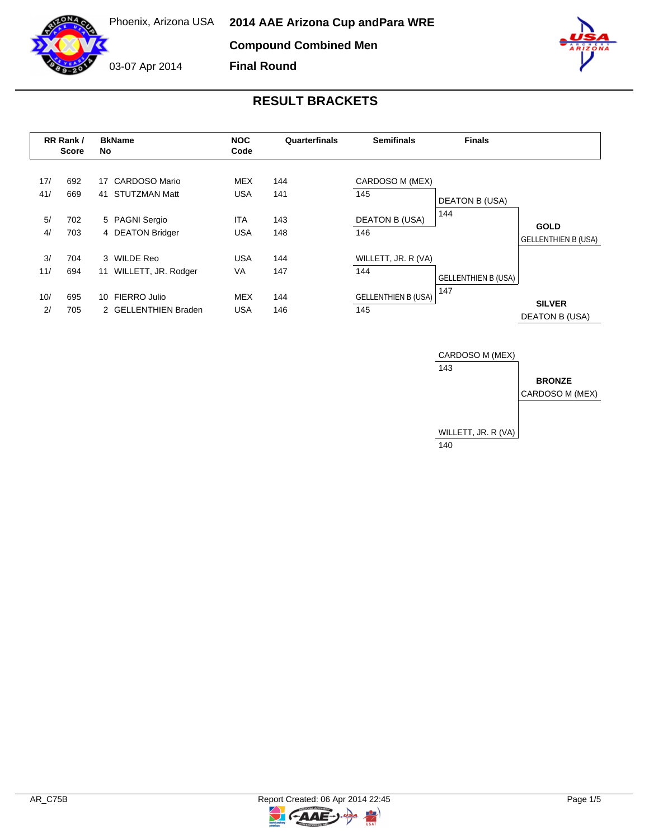**Compound Combined Men**

03-07 Apr 2014

**Final Round**



# **RESULT BRACKETS**

| RR Rank /<br><b>Score</b> |            | <b>BkName</b><br>No                            | <b>NOC</b><br><b>Semifinals</b><br>Quarterfinals<br>Code |            | <b>Finals</b>              |                              |                                           |
|---------------------------|------------|------------------------------------------------|----------------------------------------------------------|------------|----------------------------|------------------------------|-------------------------------------------|
| 17/<br>41/                | 692<br>669 | 17 CARDOSO Mario<br><b>STUTZMAN Matt</b><br>41 | <b>MEX</b><br><b>USA</b>                                 | 144<br>141 | CARDOSO M (MEX)<br>145     |                              |                                           |
| 5/                        | 702        | 5 PAGNI Sergio                                 | <b>ITA</b>                                               | 143        | <b>DEATON B (USA)</b>      | <b>DEATON B (USA)</b><br>144 |                                           |
| 4/                        | 703        | 4 DEATON Bridger                               | <b>USA</b>                                               | 148        | 146                        |                              | <b>GOLD</b><br><b>GELLENTHIEN B (USA)</b> |
| 3/                        | 704        | 3 WILDE Reo                                    | <b>USA</b>                                               | 144        | WILLETT, JR. R (VA)        |                              |                                           |
| 11/                       | 694        | 11 WILLETT, JR. Rodger                         | <b>VA</b>                                                | 147        | 144                        | <b>GELLENTHIEN B (USA)</b>   |                                           |
| 10/                       | 695        | 10 FIERRO Julio                                | <b>MEX</b>                                               | 144        | <b>GELLENTHIEN B (USA)</b> | 147                          | <b>SILVER</b>                             |
| 2/                        | 705        | 2 GELLENTHIEN Braden                           | <b>USA</b>                                               | 146        | 145                        |                              | <b>DEATON B (USA)</b>                     |



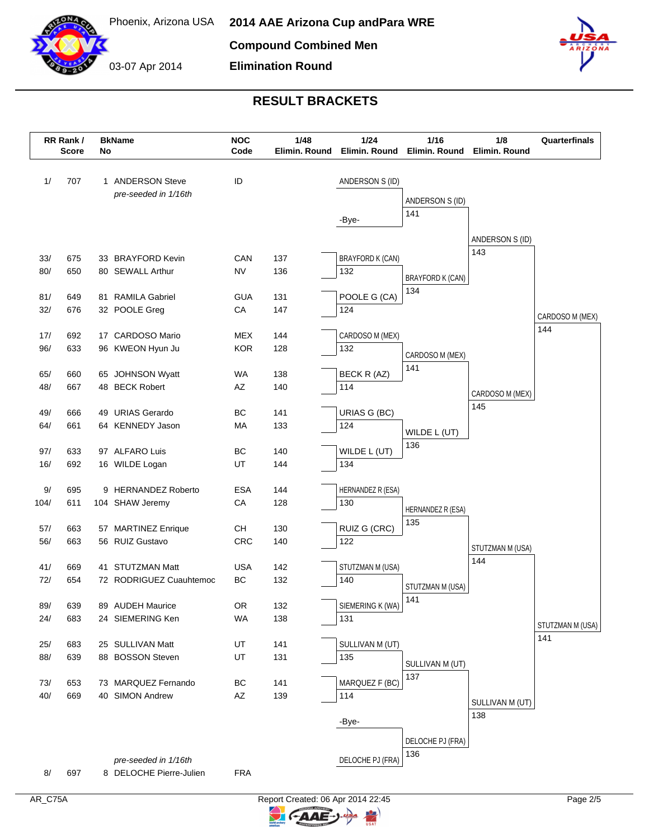

# **RESULT BRACKETS**

**Elimination Round**

| RR Rank /<br><b>Score</b> |            | No | <b>BkName</b>                                   | <b>NOC</b><br>Code | 1/48<br>Elimin. Round | 1/24<br>Elimin. Round          | 1/16<br>Elimin. Round    | 1/8<br>Elimin. Round | Quarterfinals    |
|---------------------------|------------|----|-------------------------------------------------|--------------------|-----------------------|--------------------------------|--------------------------|----------------------|------------------|
| 1/                        | 707        |    | 1 ANDERSON Steve                                | ID                 |                       | ANDERSON S (ID)                |                          |                      |                  |
|                           |            |    | pre-seeded in 1/16th                            |                    |                       |                                |                          |                      |                  |
|                           |            |    |                                                 |                    |                       |                                | ANDERSON S (ID)          |                      |                  |
|                           |            |    |                                                 |                    |                       | -Bye-                          | 141                      |                      |                  |
|                           |            |    |                                                 |                    |                       |                                |                          | ANDERSON S (ID)      |                  |
|                           |            |    |                                                 |                    |                       |                                |                          | 143                  |                  |
| 33/<br>80/                | 675<br>650 |    | 33 BRAYFORD Kevin<br>80 SEWALL Arthur           | CAN<br><b>NV</b>   | 137<br>136            | <b>BRAYFORD K (CAN)</b><br>132 |                          |                      |                  |
|                           |            |    |                                                 |                    |                       |                                | <b>BRAYFORD K (CAN)</b>  |                      |                  |
| 81/                       | 649        |    | 81 RAMILA Gabriel                               | <b>GUA</b>         | 131                   | POOLE G (CA)                   | 134                      |                      |                  |
| 32/                       | 676        |    | 32 POOLE Greg                                   | CA                 | 147                   | 124                            |                          |                      | CARDOSO M (MEX)  |
|                           |            |    |                                                 |                    |                       |                                |                          |                      | 144              |
| 17/                       | 692        |    | 17 CARDOSO Mario                                | <b>MEX</b>         | 144                   | CARDOSO M (MEX)                |                          |                      |                  |
| 96/                       | 633        |    | 96 KWEON Hyun Ju                                | <b>KOR</b>         | 128                   | 132                            | CARDOSO M (MEX)          |                      |                  |
| 65/                       | 660        |    | 65 JOHNSON Wyatt                                | WA                 | 138                   | BECK R (AZ)                    | 141                      |                      |                  |
| 48/                       | 667        |    | 48 BECK Robert                                  | AZ                 | 140                   | 114                            |                          |                      |                  |
|                           |            |    |                                                 |                    |                       |                                |                          | CARDOSO M (MEX)      |                  |
| 49/                       | 666        |    | 49 URIAS Gerardo                                | BC                 | 141                   | URIAS G (BC)                   |                          | 145                  |                  |
| 64/                       | 661        |    | 64 KENNEDY Jason                                | MA                 | 133                   | 124                            | WILDE L (UT)             |                      |                  |
|                           |            |    |                                                 |                    |                       |                                | 136                      |                      |                  |
| 97/                       | 633        |    | 97 ALFARO Luis                                  | BC<br>UT           | 140                   | WILDE L (UT)<br>134            |                          |                      |                  |
| 16/                       | 692        |    | 16 WILDE Logan                                  |                    | 144                   |                                |                          |                      |                  |
| 9/                        | 695        |    | 9 HERNANDEZ Roberto                             | <b>ESA</b>         | 144                   | HERNANDEZ R (ESA)              |                          |                      |                  |
| 104/                      | 611        |    | 104 SHAW Jeremy                                 | CA                 | 128                   | 130                            |                          |                      |                  |
|                           |            |    |                                                 |                    |                       |                                | HERNANDEZ R (ESA)<br>135 |                      |                  |
| 57/                       | 663        |    | 57 MARTINEZ Enrique                             | CH                 | 130                   | RUIZ G (CRC)                   |                          |                      |                  |
| 56/                       | 663        |    | 56 RUIZ Gustavo                                 | CRC                | 140                   | 122                            |                          | STUTZMAN M (USA)     |                  |
| 41/                       | 669        |    | 41 STUTZMAN Matt                                | <b>USA</b>         | 142                   | STUTZMAN M (USA)               |                          | 144                  |                  |
| 72/                       | 654        |    | 72 RODRIGUEZ Cuauhtemoc                         | BC                 | 132                   | 140                            |                          |                      |                  |
|                           |            |    |                                                 |                    |                       |                                | STUTZMAN M (USA)         |                      |                  |
| 89/                       | 639        |    | 89 AUDEH Maurice                                | OR                 | 132                   | SIEMERING K (WA)               | 141                      |                      |                  |
| 24/                       | 683        |    | 24 SIEMERING Ken                                | <b>WA</b>          | 138                   | 131                            |                          |                      | STUTZMAN M (USA) |
|                           |            |    |                                                 |                    |                       |                                |                          |                      | 141              |
| 25/                       | 683        |    | 25 SULLIVAN Matt                                | UT                 | 141                   | SULLIVAN M (UT)                |                          |                      |                  |
| 88/                       | 639        |    | 88 BOSSON Steven                                | UT                 | 131                   | 135                            | SULLIVAN M (UT)          |                      |                  |
| 73/                       | 653        |    | 73 MARQUEZ Fernando                             | BC                 | 141                   | MARQUEZ F (BC)                 | 137                      |                      |                  |
| 40/                       | 669        |    | 40 SIMON Andrew                                 | AZ                 | 139                   | 114                            |                          |                      |                  |
|                           |            |    |                                                 |                    |                       |                                |                          | SULLIVAN M (UT)      |                  |
|                           |            |    |                                                 |                    |                       | -Bye-                          |                          | 138                  |                  |
|                           |            |    |                                                 |                    |                       |                                | DELOCHE PJ (FRA)         |                      |                  |
|                           |            |    |                                                 |                    |                       |                                | 136                      |                      |                  |
|                           | 697        |    | pre-seeded in 1/16th<br>8 DELOCHE Pierre-Julien | <b>FRA</b>         |                       | DELOCHE PJ (FRA)               |                          |                      |                  |
| 8/                        |            |    |                                                 |                    |                       |                                |                          |                      |                  |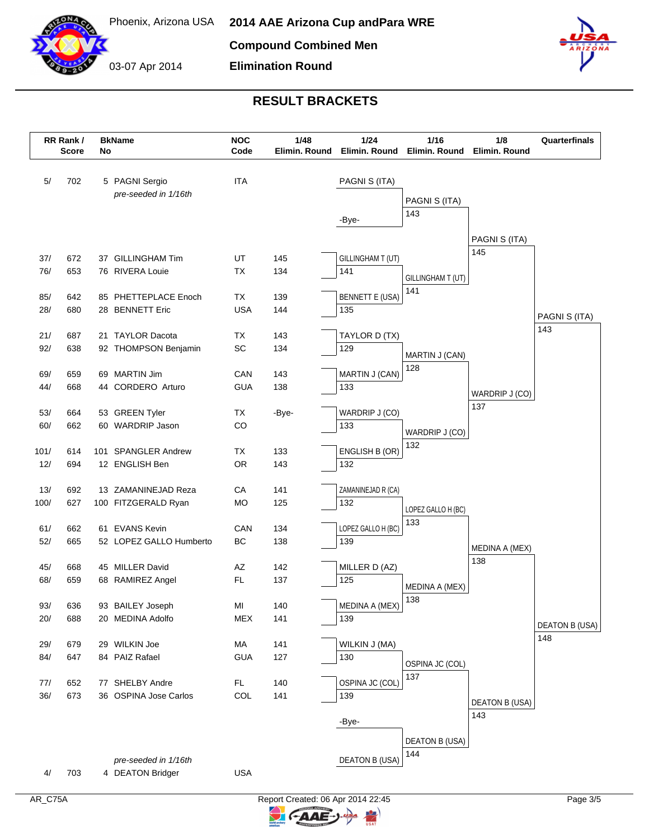



### **RESULT BRACKETS**

**Elimination Round**

|            | RR Rank /<br><b>Score</b> | No | <b>BkName</b>                            | <b>NOC</b><br>Code | 1/48<br>Elimin. Round | 1/24<br>Elimin. Round  | $1/16$<br>Elimin. Round | 1/8<br>Elimin. Round | Quarterfinals         |
|------------|---------------------------|----|------------------------------------------|--------------------|-----------------------|------------------------|-------------------------|----------------------|-----------------------|
|            |                           |    |                                          |                    |                       |                        |                         |                      |                       |
| 5/         | 702                       |    | 5 PAGNI Sergio                           | <b>ITA</b>         |                       | PAGNI S (ITA)          |                         |                      |                       |
|            |                           |    | pre-seeded in 1/16th                     |                    |                       |                        | PAGNI S (ITA)           |                      |                       |
|            |                           |    |                                          |                    |                       | -Bye-                  | 143                     |                      |                       |
|            |                           |    |                                          |                    |                       |                        |                         |                      |                       |
|            |                           |    |                                          |                    |                       |                        |                         | PAGNI S (ITA)<br>145 |                       |
| 37/        | 672                       |    | 37 GILLINGHAM Tim                        | UT                 | 145                   | GILLINGHAM T (UT)      |                         |                      |                       |
| 76/        | 653                       |    | 76 RIVERA Louie                          | TX                 | 134                   | 141                    | GILLINGHAM T (UT)       |                      |                       |
| 85/        | 642                       |    | 85 PHETTEPLACE Enoch                     | TX                 | 139                   | <b>BENNETT E (USA)</b> | 141                     |                      |                       |
| 28/        | 680                       |    | 28 BENNETT Eric                          | <b>USA</b>         | 144                   | 135                    |                         |                      |                       |
|            |                           |    |                                          |                    |                       |                        |                         |                      | PAGNI S (ITA)         |
| 21/        | 687                       |    | 21 TAYLOR Dacota                         | TX                 | 143                   | TAYLOR D (TX)          |                         |                      | 143                   |
| 92/        | 638                       |    | 92 THOMPSON Benjamin                     | SC                 | 134                   | 129                    | MARTIN J (CAN)          |                      |                       |
|            |                           |    |                                          |                    |                       |                        | 128                     |                      |                       |
| 69/        | 659                       |    | 69 MARTIN Jim                            | CAN                | 143                   | MARTIN J (CAN)         |                         |                      |                       |
| 44/        | 668                       |    | 44 CORDERO Arturo                        | <b>GUA</b>         | 138                   | 133                    |                         | WARDRIP J (CO)       |                       |
| 53/        | 664                       |    | 53 GREEN Tyler                           | TX                 | -Bye-                 | WARDRIP J (CO)         |                         | 137                  |                       |
| 60/        | 662                       |    | 60 WARDRIP Jason                         | CO                 |                       | 133                    |                         |                      |                       |
|            |                           |    |                                          |                    |                       |                        | WARDRIP J (CO)<br>132   |                      |                       |
| 101/       | 614                       |    | 101 SPANGLER Andrew                      | TX                 | 133                   | ENGLISH B (OR)         |                         |                      |                       |
| 12/        | 694                       |    | 12 ENGLISH Ben                           | <b>OR</b>          | 143                   | 132                    |                         |                      |                       |
| 13/        | 692                       |    | 13 ZAMANINEJAD Reza                      | CA                 | 141                   | ZAMANINEJAD R (CA)     |                         |                      |                       |
| 100/       | 627                       |    | 100 FITZGERALD Ryan                      | <b>MO</b>          | 125                   | 132                    |                         |                      |                       |
|            |                           |    |                                          |                    |                       |                        | LOPEZ GALLO H (BC)      |                      |                       |
| 61/        | 662                       |    | 61 EVANS Kevin                           | CAN                | 134                   | LOPEZ GALLO H (BC)     | 133                     |                      |                       |
| 52/        | 665                       |    | 52 LOPEZ GALLO Humberto                  | BC                 | 138                   | 139                    |                         | MEDINA A (MEX)       |                       |
|            |                           |    |                                          |                    |                       |                        |                         | 138                  |                       |
| 45/<br>68/ | 668<br>659                |    | 45 MILLER David<br>68 RAMIREZ Angel      | AZ<br><b>FL</b>    | 142<br>137            | MILLER D (AZ)<br>125   |                         |                      |                       |
|            |                           |    |                                          |                    |                       |                        | MEDINA A (MEX)          |                      |                       |
| 93/        | 636                       |    | 93 BAILEY Joseph                         | MI                 | 140                   | MEDINA A (MEX)         | 138                     |                      |                       |
| 20/        | 688                       |    | 20 MEDINA Adolfo                         | <b>MEX</b>         | 141                   | 139                    |                         |                      | <b>DEATON B (USA)</b> |
|            |                           |    |                                          |                    |                       |                        |                         |                      | 148                   |
| 29/        | 679                       |    | 29 WILKIN Joe                            | МA                 | 141                   | WILKIN J (MA)          |                         |                      |                       |
| 84/        | 647                       |    | 84 PAIZ Rafael                           | <b>GUA</b>         | 127                   | 130                    | OSPINA JC (COL)         |                      |                       |
| 77/        | 652                       |    | 77 SHELBY Andre                          | FL.                | 140                   | OSPINA JC (COL)        | 137                     |                      |                       |
| 36/        | 673                       |    | 36 OSPINA Jose Carlos                    | COL                | 141                   | 139                    |                         |                      |                       |
|            |                           |    |                                          |                    |                       |                        |                         | DEATON B (USA)       |                       |
|            |                           |    |                                          |                    |                       | -Bye-                  |                         | 143                  |                       |
|            |                           |    |                                          |                    |                       |                        | <b>DEATON B (USA)</b>   |                      |                       |
|            |                           |    |                                          |                    |                       |                        | 144                     |                      |                       |
| 4/         | 703                       |    | pre-seeded in 1/16th<br>4 DEATON Bridger | <b>USA</b>         |                       | <b>DEATON B (USA)</b>  |                         |                      |                       |
|            |                           |    |                                          |                    |                       |                        |                         |                      |                       |

**CAAE**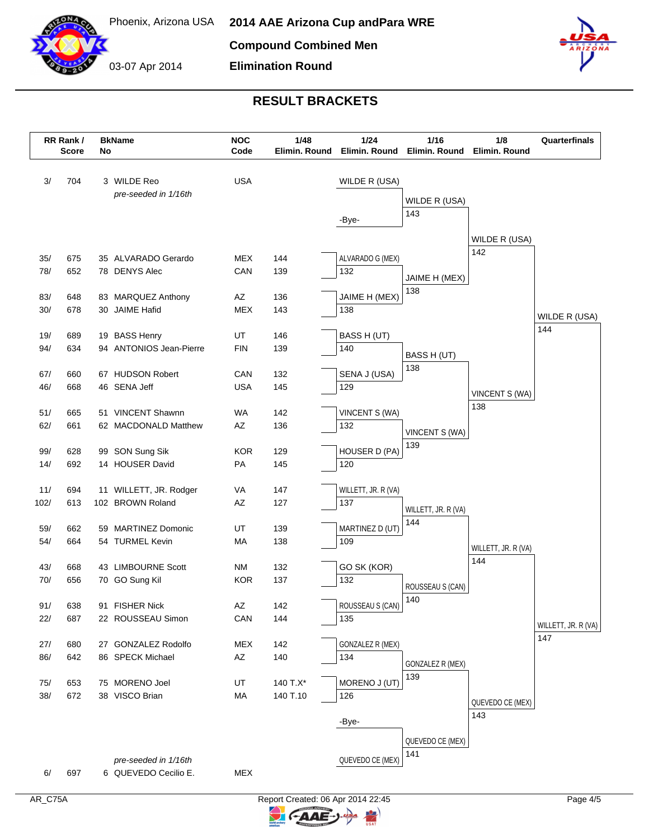



# **RESULT BRACKETS**

**Elimination Round**

| RR Rank /<br><b>Score</b> |            | No | <b>BkName</b>                            | <b>NOC</b><br>Code | 1/48<br>Elimin. Round | 1/24<br>Elimin. Round   | 1/16                 | 1/8<br>Elimin. Round Elimin. Round | Quarterfinals       |
|---------------------------|------------|----|------------------------------------------|--------------------|-----------------------|-------------------------|----------------------|------------------------------------|---------------------|
| 3/                        | 704        |    | 3 WILDE Reo<br>pre-seeded in 1/16th      | <b>USA</b>         |                       | WILDE R (USA)           | WILDE R (USA)<br>143 |                                    |                     |
|                           |            |    |                                          |                    |                       | -Bye-                   |                      | WILDE R (USA)                      |                     |
| 35/                       | 675        |    | 35 ALVARADO Gerardo                      | MEX                | 144                   | ALVARADO G (MEX)        |                      | 142                                |                     |
| 78/                       | 652        |    | 78 DENYS Alec                            | CAN                | 139                   | 132                     |                      |                                    |                     |
|                           |            |    |                                          |                    |                       |                         | JAIME H (MEX)        |                                    |                     |
| 83/                       | 648        |    | 83 MARQUEZ Anthony                       | AZ                 | 136                   | JAIME H (MEX)           | 138                  |                                    |                     |
| 30/                       | 678        |    | 30 JAIME Hafid                           | <b>MEX</b>         | 143                   | 138                     |                      |                                    | WILDE R (USA)       |
|                           |            |    |                                          |                    |                       |                         |                      |                                    | 144                 |
| 19/<br>94/                | 689<br>634 |    | 19 BASS Henry<br>94 ANTONIOS Jean-Pierre | UT<br><b>FIN</b>   | 146<br>139            | BASS H (UT)<br>140      |                      |                                    |                     |
|                           |            |    |                                          |                    |                       |                         | BASS H (UT)          |                                    |                     |
| 67/                       | 660        |    | 67 HUDSON Robert                         | CAN                | 132                   | SENA J (USA)            | 138                  |                                    |                     |
| 46/                       | 668        |    | 46 SENA Jeff                             | <b>USA</b>         | 145                   | 129                     |                      | VINCENT S (WA)                     |                     |
|                           |            |    |                                          |                    |                       |                         |                      | 138                                |                     |
| 51/                       | 665        |    | 51 VINCENT Shawnn                        | WA                 | 142                   | VINCENT S (WA)          |                      |                                    |                     |
| 62/                       | 661        |    | 62 MACDONALD Matthew                     | AZ                 | 136                   | 132                     | VINCENT S (WA)       |                                    |                     |
| 99/                       | 628        |    | 99 SON Sung Sik                          | <b>KOR</b>         | 129                   | HOUSER D (PA)           | 139                  |                                    |                     |
| 14/                       | 692        |    | 14 HOUSER David                          | PA                 | 145                   | 120                     |                      |                                    |                     |
|                           |            |    |                                          |                    |                       |                         |                      |                                    |                     |
| 11/                       | 694        |    | 11 WILLETT, JR. Rodger                   | VA                 | 147                   | WILLETT, JR. R (VA)     |                      |                                    |                     |
| 102/                      | 613        |    | 102 BROWN Roland                         | AZ                 | 127                   | 137                     | WILLETT, JR. R (VA)  |                                    |                     |
|                           |            |    |                                          |                    |                       |                         | 144                  |                                    |                     |
| 59/                       | 662        |    | 59 MARTINEZ Domonic                      | UT                 | 139                   | MARTINEZ D (UT)         |                      |                                    |                     |
| 54/                       | 664        |    | 54 TURMEL Kevin                          | MA                 | 138                   | 109                     |                      | WILLETT, JR. R (VA)                |                     |
| 43/                       | 668        |    | 43 LIMBOURNE Scott                       | <b>NM</b>          | 132                   | GO SK (KOR)             |                      | 144                                |                     |
| 70/                       | 656        |    | 70 GO Sung Kil                           | <b>KOR</b>         | 137                   | 132                     |                      |                                    |                     |
|                           |            |    |                                          |                    |                       |                         | ROUSSEAU S (CAN)     |                                    |                     |
| 91/                       | 638        |    | 91 FISHER Nick                           | AΖ                 | 142                   | ROUSSEAU S (CAN)        | 140                  |                                    |                     |
| 22/                       | 687        |    | 22 ROUSSEAU Simon                        | CAN                | 144                   | 135                     |                      |                                    | WILLETT, JR. R (VA) |
| 27/                       | 680        |    | 27 GONZALEZ Rodolfo                      | <b>MEX</b>         |                       |                         |                      |                                    | 147                 |
| 86/                       | 642        |    | 86 SPECK Michael                         | AZ                 | 142<br>140            | GONZALEZ R (MEX)<br>134 |                      |                                    |                     |
|                           |            |    |                                          |                    |                       |                         | GONZALEZ R (MEX)     |                                    |                     |
| 75/                       | 653        |    | 75 MORENO Joel                           | UT                 | 140 T.X*              | MORENO J (UT)           | 139                  |                                    |                     |
| 38/                       | 672        |    | 38 VISCO Brian                           | MA                 | 140 T.10              | 126                     |                      | QUEVEDO CE (MEX)                   |                     |
|                           |            |    |                                          |                    |                       |                         |                      | 143                                |                     |
|                           |            |    |                                          |                    |                       | -Bye-                   |                      |                                    |                     |
|                           |            |    |                                          |                    |                       |                         | QUEVEDO CE (MEX)     |                                    |                     |
|                           |            |    | pre-seeded in 1/16th                     |                    |                       | QUEVEDO CE (MEX)        | 141                  |                                    |                     |
| 6/                        | 697        |    | 6 QUEVEDO Cecilio E.                     | <b>MEX</b>         |                       |                         |                      |                                    |                     |
|                           |            |    |                                          |                    |                       |                         |                      |                                    |                     |

**CAAE-**